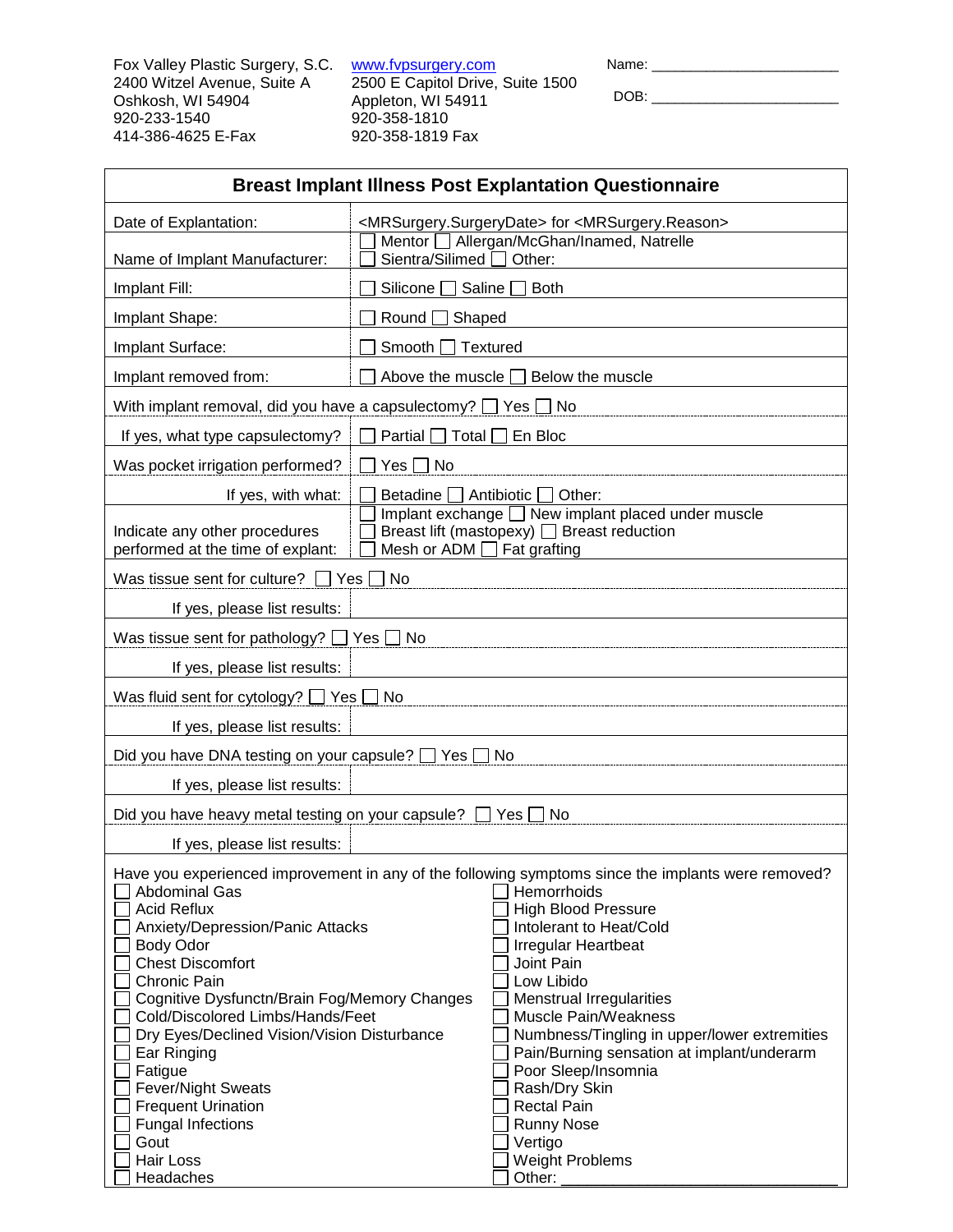Fox Valley Plastic Surgery, S.C. 2400 Witzel Avenue, Suite A Oshkosh, WI 54904 920-233-1540 414-386-4625 E-Fax

[www.fvpsurgery.com](http://www.fvpsurgery.com/) 2500 E Capitol Drive, Suite 1500 Appleton, WI 54911 920-358-1810 920-358-1819 Fax

Name: \_\_\_\_\_\_\_\_\_\_\_\_\_\_\_\_\_\_\_\_\_\_\_\_

DOB: \_\_\_\_\_\_\_\_\_\_\_\_\_\_\_\_\_\_\_\_\_\_\_\_

| <b>Breast Implant Illness Post Explantation Questionnaire</b>                                                                                                                                                                                                                                                                                                                                                         |                                                                                                                                                                                                                                                                                                                                                                                                                                                                                                                |  |  |  |
|-----------------------------------------------------------------------------------------------------------------------------------------------------------------------------------------------------------------------------------------------------------------------------------------------------------------------------------------------------------------------------------------------------------------------|----------------------------------------------------------------------------------------------------------------------------------------------------------------------------------------------------------------------------------------------------------------------------------------------------------------------------------------------------------------------------------------------------------------------------------------------------------------------------------------------------------------|--|--|--|
| Date of Explantation:                                                                                                                                                                                                                                                                                                                                                                                                 | <mrsurgery.surgerydate> for <mrsurgery.reason></mrsurgery.reason></mrsurgery.surgerydate>                                                                                                                                                                                                                                                                                                                                                                                                                      |  |  |  |
| Name of Implant Manufacturer:                                                                                                                                                                                                                                                                                                                                                                                         | Mentor   Allergan/McGhan/Inamed, Natrelle<br>Sientra/Silimed □ Other:                                                                                                                                                                                                                                                                                                                                                                                                                                          |  |  |  |
| Implant Fill:                                                                                                                                                                                                                                                                                                                                                                                                         | Silicone Saline<br>$\sqcap$ Both                                                                                                                                                                                                                                                                                                                                                                                                                                                                               |  |  |  |
| Implant Shape:                                                                                                                                                                                                                                                                                                                                                                                                        | Round<br>Shaped                                                                                                                                                                                                                                                                                                                                                                                                                                                                                                |  |  |  |
| Implant Surface:                                                                                                                                                                                                                                                                                                                                                                                                      | Smooth [<br>$\Box$ Textured                                                                                                                                                                                                                                                                                                                                                                                                                                                                                    |  |  |  |
| Implant removed from:                                                                                                                                                                                                                                                                                                                                                                                                 | Above the muscle $\Box$ Below the muscle                                                                                                                                                                                                                                                                                                                                                                                                                                                                       |  |  |  |
| With implant removal, did you have a capsulectomy? $\Box$ Yes $\Box$ No                                                                                                                                                                                                                                                                                                                                               |                                                                                                                                                                                                                                                                                                                                                                                                                                                                                                                |  |  |  |
| If yes, what type capsulectomy?                                                                                                                                                                                                                                                                                                                                                                                       | Partial $\Box$ Total $\Box$ En Bloc                                                                                                                                                                                                                                                                                                                                                                                                                                                                            |  |  |  |
| Was pocket irrigation performed?<br>∩ No<br>Yes [                                                                                                                                                                                                                                                                                                                                                                     |                                                                                                                                                                                                                                                                                                                                                                                                                                                                                                                |  |  |  |
| If yes, with what:                                                                                                                                                                                                                                                                                                                                                                                                    | Betadine $\Box$ Antibiotic $\Box$<br>Other:                                                                                                                                                                                                                                                                                                                                                                                                                                                                    |  |  |  |
| Implant exchange Mew implant placed under muscle<br>Breast lift (mastopexy) □ Breast reduction<br>Indicate any other procedures<br>performed at the time of explant:<br>Mesh or ADM $\Box$ Fat grafting                                                                                                                                                                                                               |                                                                                                                                                                                                                                                                                                                                                                                                                                                                                                                |  |  |  |
| Was tissue sent for culture? $\Box$ Yes $\Box$ No                                                                                                                                                                                                                                                                                                                                                                     |                                                                                                                                                                                                                                                                                                                                                                                                                                                                                                                |  |  |  |
| If yes, please list results:                                                                                                                                                                                                                                                                                                                                                                                          |                                                                                                                                                                                                                                                                                                                                                                                                                                                                                                                |  |  |  |
| Was tissue sent for pathology? $\Box$ Yes $\Box$ No                                                                                                                                                                                                                                                                                                                                                                   |                                                                                                                                                                                                                                                                                                                                                                                                                                                                                                                |  |  |  |
| If yes, please list results:                                                                                                                                                                                                                                                                                                                                                                                          |                                                                                                                                                                                                                                                                                                                                                                                                                                                                                                                |  |  |  |
| Was fluid sent for cytology? $\Box$ Yes $\Box$ No                                                                                                                                                                                                                                                                                                                                                                     |                                                                                                                                                                                                                                                                                                                                                                                                                                                                                                                |  |  |  |
| If yes, please list results:                                                                                                                                                                                                                                                                                                                                                                                          |                                                                                                                                                                                                                                                                                                                                                                                                                                                                                                                |  |  |  |
| Did you have DNA testing on your capsule? □ Yes □ No                                                                                                                                                                                                                                                                                                                                                                  |                                                                                                                                                                                                                                                                                                                                                                                                                                                                                                                |  |  |  |
| If yes, please list results:                                                                                                                                                                                                                                                                                                                                                                                          |                                                                                                                                                                                                                                                                                                                                                                                                                                                                                                                |  |  |  |
| Did you have heavy metal testing on your capsule?                                                                                                                                                                                                                                                                                                                                                                     | Yes<br>No.                                                                                                                                                                                                                                                                                                                                                                                                                                                                                                     |  |  |  |
| If yes, please list results:                                                                                                                                                                                                                                                                                                                                                                                          |                                                                                                                                                                                                                                                                                                                                                                                                                                                                                                                |  |  |  |
| <b>Abdominal Gas</b><br><b>Acid Reflux</b><br>Anxiety/Depression/Panic Attacks<br><b>Body Odor</b><br><b>Chest Discomfort</b><br>Chronic Pain<br>Cognitive Dysfunctn/Brain Fog/Memory Changes<br>Cold/Discolored Limbs/Hands/Feet<br>Dry Eyes/Declined Vision/Vision Disturbance<br>Ear Ringing<br>Fatigue<br><b>Fever/Night Sweats</b><br><b>Frequent Urination</b><br><b>Fungal Infections</b><br>Gout<br>Hair Loss | Have you experienced improvement in any of the following symptoms since the implants were removed?<br>Hemorrhoids<br><b>High Blood Pressure</b><br>Intolerant to Heat/Cold<br><b>Irregular Heartbeat</b><br>Joint Pain<br>Low Libido<br>Menstrual Irregularities<br>Muscle Pain/Weakness<br>Numbness/Tingling in upper/lower extremities<br>Pain/Burning sensation at implant/underarm<br>Poor Sleep/Insomnia<br>Rash/Dry Skin<br><b>Rectal Pain</b><br><b>Runny Nose</b><br>Vertigo<br><b>Weight Problems</b> |  |  |  |